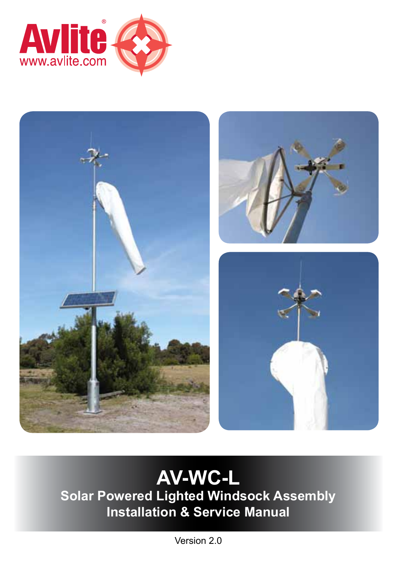



# **AV-WC-L**

**Solar Powered Lighted Windsock Assembly Installation & Service Manual**

Version 2.0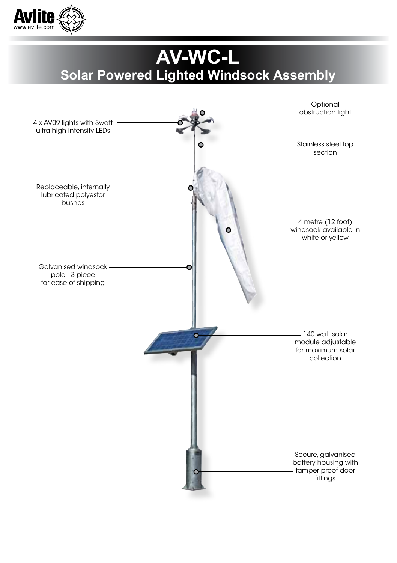

# **AV-WC-L Solar Powered Lighted Windsock Assembly**

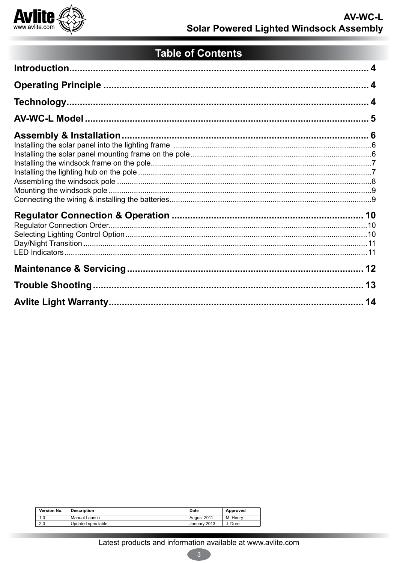

## **Table of Contents**

| Version No. | <b>Description</b> | Date         | Approved |
|-------------|--------------------|--------------|----------|
| 1.0         | Manual Launch      | August 2011  | M. Henry |
| 2.0         | Updated spec table | January 2013 | J. Dore  |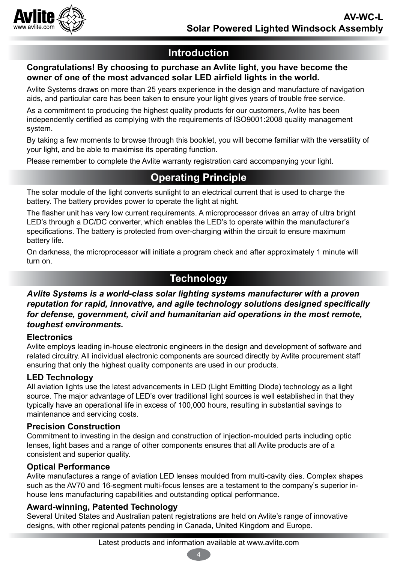

## **Introduction**

#### **Congratulations! By choosing to purchase an Avlite light, you have become the owner of one of the most advanced solar LED airfield lights in the world.**

Avlite Systems draws on more than 25 years experience in the design and manufacture of navigation aids, and particular care has been taken to ensure your light gives years of trouble free service.

As a commitment to producing the highest quality products for our customers, Avlite has been independently certified as complying with the requirements of ISO9001:2008 quality management system.

By taking a few moments to browse through this booklet, you will become familiar with the versatility of your light, and be able to maximise its operating function.

Please remember to complete the Avlite warranty registration card accompanying your light.

## **Operating Principle**

The solar module of the light converts sunlight to an electrical current that is used to charge the battery. The battery provides power to operate the light at night.

The flasher unit has very low current requirements. A microprocessor drives an array of ultra bright LED's through a DC/DC converter, which enables the LED's to operate within the manufacturer's specifications. The battery is protected from over-charging within the circuit to ensure maximum battery life.

On darkness, the microprocessor will initiate a program check and after approximately 1 minute will turn on.

## **Technology**

*Avlite Systems is a world-class solar lighting systems manufacturer with a proven reputation for rapid, innovative, and agile technology solutions designed specifically for defense, government, civil and humanitarian aid operations in the most remote, toughest environments.*

#### **Electronics**

Avlite employs leading in-house electronic engineers in the design and development of software and related circuitry. All individual electronic components are sourced directly by Avlite procurement staff ensuring that only the highest quality components are used in our products.

#### **LED Technology**

All aviation lights use the latest advancements in LED (Light Emitting Diode) technology as a light source. The major advantage of LED's over traditional light sources is well established in that they typically have an operational life in excess of 100,000 hours, resulting in substantial savings to maintenance and servicing costs.

#### **Precision Construction**

Commitment to investing in the design and construction of injection-moulded parts including optic lenses, light bases and a range of other components ensures that all Avlite products are of a consistent and superior quality.

#### **Optical Performance**

Avlite manufactures a range of aviation LED lenses moulded from multi-cavity dies. Complex shapes such as the AV70 and 16-segment multi-focus lenses are a testament to the company's superior inhouse lens manufacturing capabilities and outstanding optical performance.

#### **Award-winning, Patented Technology**

Several United States and Australian patent registrations are held on Avlite's range of innovative designs, with other regional patents pending in Canada, United Kingdom and Europe.

4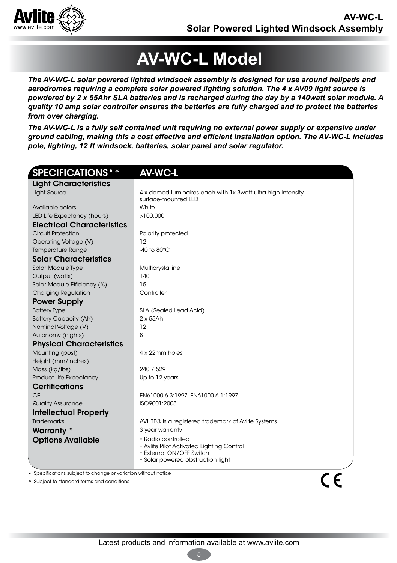

# **AV-WC-L Model**

*The AV-WC-L solar powered lighted windsock assembly is designed for use around helipads and aerodromes requiring a complete solar powered lighting solution. The 4 x AV09 light source is powdered by 2 x 55Ahr SLA batteries and is recharged during the day by a 140watt solar module. A quality 10 amp solar controller ensures the batteries are fully charged and to protect the batteries from over charging.*

*The AV-WC-L is a fully self contained unit requiring no external power supply or expensive under ground cabling, making this a cost effective and efficient installation option. The AV-WC-L includes pole, lighting, 12 ft windsock, batteries, solar panel and solar regulator.* 

| <b>SPECIFICATIONS</b> **                                       | <b>AV-WC-L</b>                                                                                                                         |
|----------------------------------------------------------------|----------------------------------------------------------------------------------------------------------------------------------------|
| <b>Light Characteristics</b>                                   |                                                                                                                                        |
| <b>Light Source</b>                                            | 4 x domed luminaires each with 1x 3watt ultra-high intensity<br>surface-mounted LED                                                    |
| Available colors                                               | White                                                                                                                                  |
| LED Life Expectancy (hours)                                    | >100.000                                                                                                                               |
| <b>Electrical Characteristics</b>                              |                                                                                                                                        |
| <b>Circuit Protection</b>                                      | Polarity protected                                                                                                                     |
| Operating Voltage (V)                                          | 12                                                                                                                                     |
| <b>Temperature Range</b>                                       | -40 to 80 $^{\circ}$ C                                                                                                                 |
| <b>Solar Characteristics</b>                                   |                                                                                                                                        |
| Solar Module Type                                              | Multicrystalline                                                                                                                       |
| Output (watts)                                                 | 140                                                                                                                                    |
| Solar Module Efficiency (%)                                    | 15                                                                                                                                     |
| <b>Charging Regulation</b>                                     | Controller                                                                                                                             |
| <b>Power Supply</b>                                            |                                                                                                                                        |
| <b>Battery Type</b>                                            | SLA (Sealed Lead Acid)                                                                                                                 |
| <b>Battery Capacity (Ah)</b>                                   | $2 \times 55$ Ah                                                                                                                       |
| Nominal Voltage (V)                                            | 12                                                                                                                                     |
| Autonomy (nights)                                              | 8                                                                                                                                      |
| <b>Physical Characteristics</b>                                |                                                                                                                                        |
| Mounting (post)                                                | 4 x 22mm holes                                                                                                                         |
| Height (mm/inches)                                             |                                                                                                                                        |
| Mass (kg/lbs)                                                  | 240 / 529                                                                                                                              |
| Product Life Expectancy                                        | Up to 12 years                                                                                                                         |
| <b>Certifications</b>                                          |                                                                                                                                        |
| <b>CE</b>                                                      | EN61000-6-3:1997. EN61000-6-1:1997                                                                                                     |
| <b>Quality Assurance</b>                                       | ISO9001:2008                                                                                                                           |
| <b>Intellectual Property</b>                                   |                                                                                                                                        |
| <b>Trademarks</b>                                              | AVLITE® is a registered trademark of Avlite Systems                                                                                    |
| Warranty *                                                     | 3 year warranty                                                                                                                        |
| <b>Options Available</b>                                       | $\cdot$ Radio controlled<br>• Avlite Pilot Activated Lighting Control<br>• External ON/OFF Switch<br>· Solar powered obstruction light |
| • Specifications subject to change or variation without notice |                                                                                                                                        |
| * Subject to standard terms and conditions                     |                                                                                                                                        |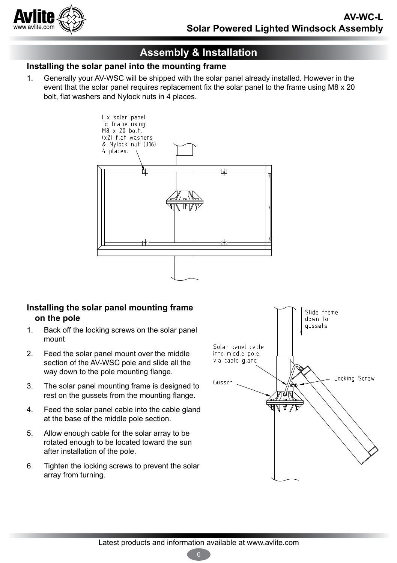

## **Assembly & Installation**

#### **Installing the solar panel into the mounting frame**

1. Generally your AV-WSC will be shipped with the solar panel already installed. However in the event that the solar panel requires replacement fix the solar panel to the frame using M8 x 20 bolt, flat washers and Nylock nuts in 4 places.



#### **Installing the solar panel mounting frame on the pole**

- 1. Back off the locking screws on the solar panel mount
- 2. Feed the solar panel mount over the middle section of the AV-WSC pole and slide all the way down to the pole mounting flange.
- 3. The solar panel mounting frame is designed to rest on the gussets from the mounting flange.
- 4. Feed the solar panel cable into the cable gland at the base of the middle pole section.
- 5. Allow enough cable for the solar array to be rotated enough to be located toward the sun after installation of the pole.
- 6. Tighten the locking screws to prevent the solar array from turning.



6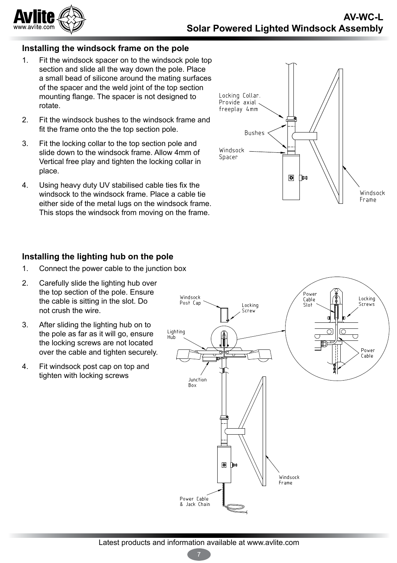

#### **Installing the windsock frame on the pole**

- 1. Fit the windsock spacer on to the windsock pole top section and slide all the way down the pole. Place a small bead of silicone around the mating surfaces of the spacer and the weld joint of the top section mounting flange. The spacer is not designed to rotate.
- 2. Fit the windsock bushes to the windsock frame and fit the frame onto the the top section pole.
- 3. Fit the locking collar to the top section pole and slide down to the windsock frame. Allow 4mm of Vertical free play and tighten the locking collar in place.
- 4. Using heavy duty UV stabilised cable ties fix the windsock to the windsock frame. Place a cable tie either side of the metal lugs on the windsock frame. This stops the windsock from moving on the frame.

#### **Installing the lighting hub on the pole**

- 1. Connect the power cable to the junction box
- 2. Carefully slide the lighting hub over the top section of the pole. Ensure the cable is sitting in the slot. Do not crush the wire.
- 3. After sliding the lighting hub on to the pole as far as it will go, ensure the locking screws are not located over the cable and tighten securely
- 4. Fit windsock post cap on top and tighten with locking screws



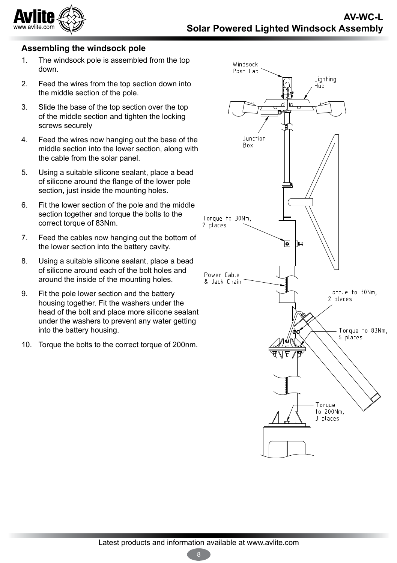

#### **Assembling the windsock pole**

- 1. The windsock pole is assembled from the top down.
- 2. Feed the wires from the top section down into the middle section of the pole.
- 3. Slide the base of the top section over the top of the middle section and tighten the locking screws securely
- 4. Feed the wires now hanging out the base of the middle section into the lower section, along with the cable from the solar panel.
- 5. Using a suitable silicone sealant, place a bead of silicone around the flange of the lower pole section, just inside the mounting holes.
- 6. Fit the lower section of the pole and the middle section together and torque the bolts to the correct torque of 83Nm.
- 7. Feed the cables now hanging out the bottom of the lower section into the battery cavity.
- 8. Using a suitable silicone sealant, place a bead of silicone around each of the bolt holes and around the inside of the mounting holes.
- 9. Fit the pole lower section and the battery housing together. Fit the washers under the head of the bolt and place more silicone sealant under the washers to prevent any water getting into the battery housing.
- 10. Torque the bolts to the correct torque of 200nm.



8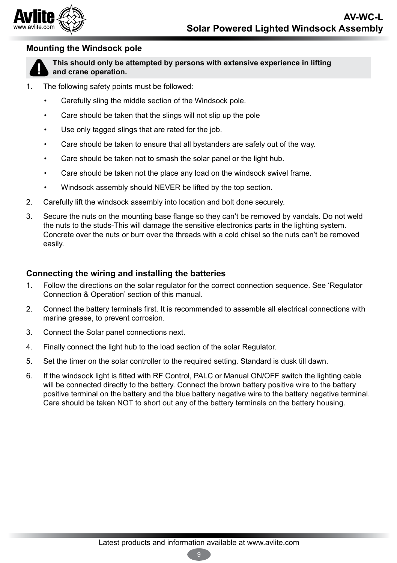

#### **Mounting the Windsock pole**



**This should only be attempted by persons with extensive experience in lifting and crane operation.** 

- 1. The following safety points must be followed:
	- Carefully sling the middle section of the Windsock pole.
	- Care should be taken that the slings will not slip up the pole
	- Use only tagged slings that are rated for the job.
	- Care should be taken to ensure that all bystanders are safely out of the wav.
	- Care should be taken not to smash the solar panel or the light hub.
	- Care should be taken not the place any load on the windsock swivel frame.
	- Windsock assembly should NEVER be lifted by the top section.
- 2. Carefully lift the windsock assembly into location and bolt done securely.
- 3. Secure the nuts on the mounting base flange so they can't be removed by vandals. Do not weld the nuts to the studs-This will damage the sensitive electronics parts in the lighting system. Concrete over the nuts or burr over the threads with a cold chisel so the nuts can't be removed easily.

#### **Connecting the wiring and installing the batteries**

- 1. Follow the directions on the solar regulator for the correct connection sequence. See 'Regulator Connection & Operation' section of this manual.
- 2. Connect the battery terminals first. It is recommended to assemble all electrical connections with marine grease, to prevent corrosion.
- 3. Connect the Solar panel connections next.
- 4. Finally connect the light hub to the load section of the solar Regulator.
- 5. Set the timer on the solar controller to the required setting. Standard is dusk till dawn.
- 6. If the windsock light is fitted with RF Control, PALC or Manual ON/OFF switch the lighting cable will be connected directly to the battery. Connect the brown battery positive wire to the battery positive terminal on the battery and the blue battery negative wire to the battery negative terminal. Care should be taken NOT to short out any of the battery terminals on the battery housing.

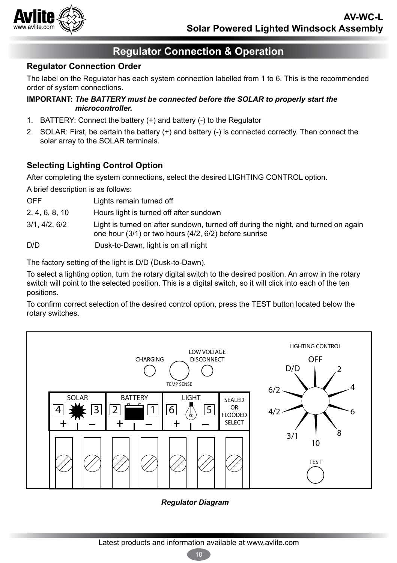

### **Regulator Connection & Operation**

#### **Regulator Connection Order**

The label on the Regulator has each system connection labelled from 1 to 6. This is the recommended order of system connections.

#### **IMPORTANT:** *The BATTERY must be connected before the SOLAR to properly start the microcontroller.*

- 1. BATTERY: Connect the battery (+) and battery (-) to the Regulator
- 2. SOLAR: First, be certain the battery (+) and battery (-) is connected correctly. Then connect the solar array to the SOLAR terminals.

#### **Selecting Lighting Control Option**

After completing the system connections, select the desired LIGHTING CONTROL option.

A brief description is as follows:

- 2, 4, 6, 8, 10 Hours light is turned off after sundown
- 3/1, 4/2, 6/2 Light is turned on after sundown, turned off during the night, and turned on again one hour (3/1) or two hours (4/2, 6/2) before sunrise

D/D Dusk-to-Dawn, light is on all night

The factory setting of the light is D/D (Dusk-to-Dawn).

To select a lighting option, turn the rotary digital switch to the desired position. An arrow in the rotary switch will point to the selected position. This is a digital switch, so it will click into each of the ten positions.

To confirm correct selection of the desired control option, press the TEST button located below the rotary switches.



#### *Regulator Diagram*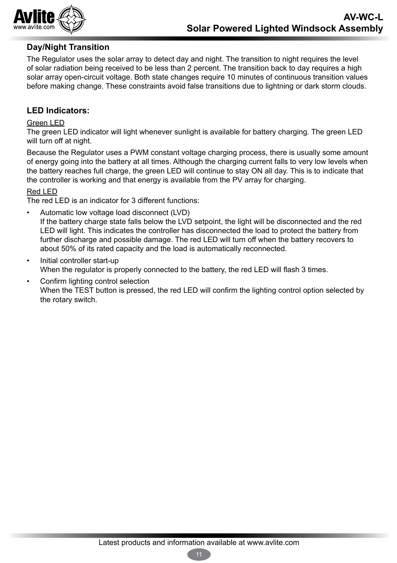

#### **Day/Night Transition**

The Regulator uses the solar array to detect day and night. The transition to night requires the level of solar radiation being received to be less than 2 percent. The transition back to day requires a high solar array open-circuit voltage. Both state changes require 10 minutes of continuous transition values before making change. These constraints avoid false transitions due to lightning or dark storm clouds.

#### **LED Indicators:**

#### Green LED

The green LED indicator will light whenever sunlight is available for battery charging. The green LED will turn off at night.

Because the Regulator uses a PWM constant voltage charging process, there is usually some amount of energy going into the battery at all times. Although the charging current falls to very low levels when the battery reaches full charge, the green LED will continue to stay ON all day. This is to indicate that the controller is working and that energy is available from the PV array for charging.

#### Red LED

The red LED is an indicator for 3 different functions:

• Automatic low voltage load disconnect (LVD)

If the battery charge state falls below the LVD setpoint, the light will be disconnected and the red LED will light. This indicates the controller has disconnected the load to protect the battery from further discharge and possible damage. The red LED will turn off when the battery recovers to about 50% of its rated capacity and the load is automatically reconnected.

- Initial controller start-up When the regulator is properly connected to the battery, the red LED will flash 3 times.
- Confirm lighting control selection When the TEST button is pressed, the red LED will confirm the lighting control option selected by the rotary switch.

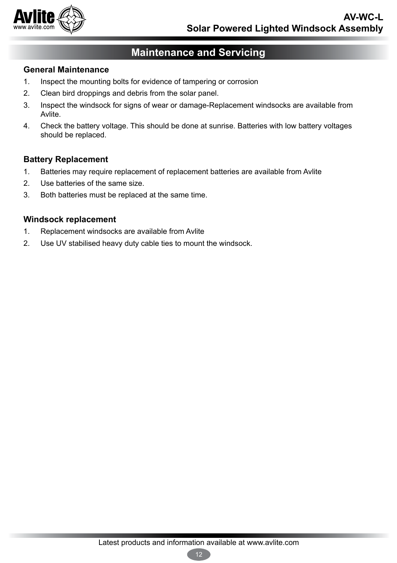

### **Maintenance and Servicing**

#### **General Maintenance**

- 1. Inspect the mounting bolts for evidence of tampering or corrosion
- 2. Clean bird droppings and debris from the solar panel.
- 3. Inspect the windsock for signs of wear or damage-Replacement windsocks are available from Avlite.
- 4. Check the battery voltage. This should be done at sunrise. Batteries with low battery voltages should be replaced.

#### **Battery Replacement**

- 1. Batteries may require replacement of replacement batteries are available from Avlite
- 2. Use batteries of the same size.
- 3. Both batteries must be replaced at the same time.

#### **Windsock replacement**

- 1. Replacement windsocks are available from Avlite
- 2. Use UV stabilised heavy duty cable ties to mount the windsock.

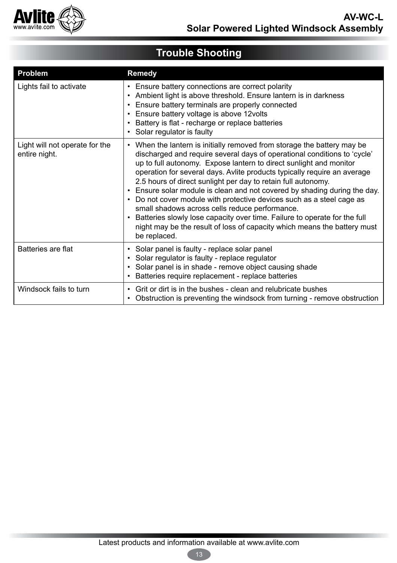

#### **Trouble Shooting Problem Remedy** Lights fail to activate  $\|\cdot\|$  Ensure battery connections are correct polarity • Ambient light is above threshold. Ensure lantern is in darkness • Ensure battery terminals are properly connected • Ensure battery voltage is above 12volts • Battery is flat - recharge or replace batteries • Solar regulator is faulty Light will not operate for the entire night. • When the lantern is initially removed from storage the battery may be discharged and require several days of operational conditions to 'cycle' up to full autonomy. Expose lantern to direct sunlight and monitor operation for several days. Avlite products typically require an average 2.5 hours of direct sunlight per day to retain full autonomy. • Ensure solar module is clean and not covered by shading during the day. • Do not cover module with protective devices such as a steel cage as small shadows across cells reduce performance. • Batteries slowly lose capacity over time. Failure to operate for the full night may be the result of loss of capacity which means the battery must be replaced. Batteries are flat • Solar panel is faulty - replace solar panel • Solar regulator is faulty - replace regulator • Solar panel is in shade - remove object causing shade • Batteries require replacement - replace batteries Windsock fails to turn  $\cdot$  Grit or dirt is in the bushes - clean and relubricate bushes • Obstruction is preventing the windsock from turning - remove obstruction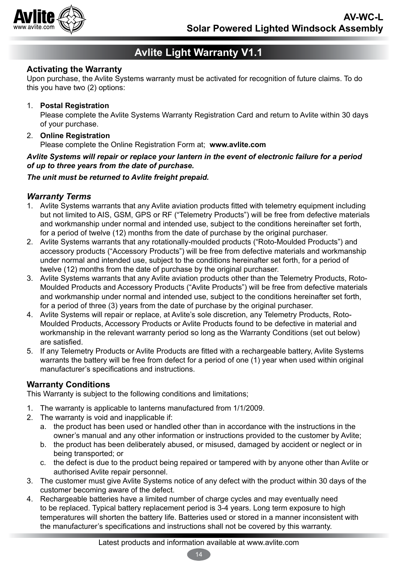

## **Avlite Light Warranty V1.1**

#### **Activating the Warranty**

Upon purchase, the Avlite Systems warranty must be activated for recognition of future claims. To do this you have two (2) options:

#### 1. **Postal Registration**

Please complete the Avlite Systems Warranty Registration Card and return to Avlite within 30 days of your purchase.

#### 2. **Online Registration**

Please complete the Online Registration Form at; **www.avlite.com**

#### *Avlite Systems will repair or replace your lantern in the event of electronic failure for a period of up to three years from the date of purchase.*

#### *The unit must be returned to Avlite freight prepaid.*

#### *Warranty Terms*

- 1. Avlite Systems warrants that any Avlite aviation products fitted with telemetry equipment including but not limited to AIS, GSM, GPS or RF ("Telemetry Products") will be free from defective materials and workmanship under normal and intended use, subject to the conditions hereinafter set forth, for a period of twelve (12) months from the date of purchase by the original purchaser.
- 2. Avlite Systems warrants that any rotationally-moulded products ("Roto-Moulded Products") and accessory products ("Accessory Products") will be free from defective materials and workmanship under normal and intended use, subject to the conditions hereinafter set forth, for a period of twelve (12) months from the date of purchase by the original purchaser.
- 3. Avlite Systems warrants that any Avlite aviation products other than the Telemetry Products, Roto-Moulded Products and Accessory Products ("Avlite Products") will be free from defective materials and workmanship under normal and intended use, subject to the conditions hereinafter set forth, for a period of three (3) years from the date of purchase by the original purchaser.
- 4. Avlite Systems will repair or replace, at Avlite's sole discretion, any Telemetry Products, Roto-Moulded Products, Accessory Products or Avlite Products found to be defective in material and workmanship in the relevant warranty period so long as the Warranty Conditions (set out below) are satisfied.
- 5. If any Telemetry Products or Avlite Products are fitted with a rechargeable battery, Avlite Systems warrants the battery will be free from defect for a period of one (1) year when used within original manufacturer's specifications and instructions.

#### **Warranty Conditions**

This Warranty is subject to the following conditions and limitations;

- 1. The warranty is applicable to lanterns manufactured from 1/1/2009.
- 2. The warranty is void and inapplicable if:
	- a. the product has been used or handled other than in accordance with the instructions in the owner's manual and any other information or instructions provided to the customer by Avlite;
	- b. the product has been deliberately abused, or misused, damaged by accident or neglect or in being transported; or
	- c. the defect is due to the product being repaired or tampered with by anyone other than Avlite or authorised Avlite repair personnel.
- 3. The customer must give Avlite Systems notice of any defect with the product within 30 days of the customer becoming aware of the defect.
- 4. Rechargeable batteries have a limited number of charge cycles and may eventually need to be replaced. Typical battery replacement period is 3-4 years. Long term exposure to high temperatures will shorten the battery life. Batteries used or stored in a manner inconsistent with the manufacturer's specifications and instructions shall not be covered by this warranty.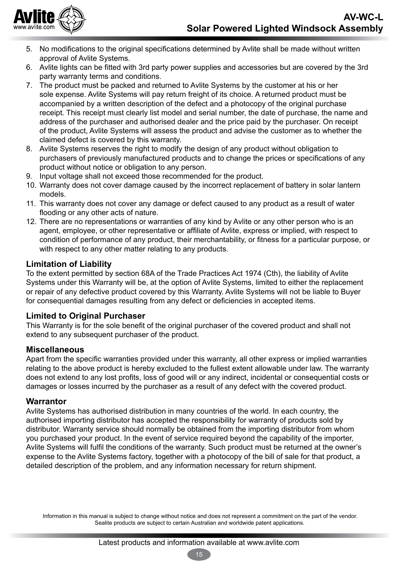

- 5. No modifications to the original specifications determined by Avlite shall be made without written approval of Avlite Systems.
- 6. Avlite lights can be fitted with 3rd party power supplies and accessories but are covered by the 3rd party warranty terms and conditions.
- 7. The product must be packed and returned to Avlite Systems by the customer at his or her sole expense. Avlite Systems will pay return freight of its choice. A returned product must be accompanied by a written description of the defect and a photocopy of the original purchase receipt. This receipt must clearly list model and serial number, the date of purchase, the name and address of the purchaser and authorised dealer and the price paid by the purchaser. On receipt of the product, Avlite Systems will assess the product and advise the customer as to whether the claimed defect is covered by this warranty.
- 8. Avlite Systems reserves the right to modify the design of any product without obligation to purchasers of previously manufactured products and to change the prices or specifications of any product without notice or obligation to any person.
- 9. Input voltage shall not exceed those recommended for the product.
- 10. Warranty does not cover damage caused by the incorrect replacement of battery in solar lantern models.
- 11. This warranty does not cover any damage or defect caused to any product as a result of water flooding or any other acts of nature.
- 12. There are no representations or warranties of any kind by Avlite or any other person who is an agent, employee, or other representative or affiliate of Avlite, express or implied, with respect to condition of performance of any product, their merchantability, or fitness for a particular purpose, or with respect to any other matter relating to any products.

#### **Limitation of Liability**

To the extent permitted by section 68A of the Trade Practices Act 1974 (Cth), the liability of Avlite Systems under this Warranty will be, at the option of Avlite Systems, limited to either the replacement or repair of any defective product covered by this Warranty. Avlite Systems will not be liable to Buyer for consequential damages resulting from any defect or deficiencies in accepted items.

#### **Limited to Original Purchaser**

This Warranty is for the sole benefit of the original purchaser of the covered product and shall not extend to any subsequent purchaser of the product.

#### **Miscellaneous**

Apart from the specific warranties provided under this warranty, all other express or implied warranties relating to the above product is hereby excluded to the fullest extent allowable under law. The warranty does not extend to any lost profits, loss of good will or any indirect, incidental or consequential costs or damages or losses incurred by the purchaser as a result of any defect with the covered product.

#### **Warrantor**

Avlite Systems has authorised distribution in many countries of the world. In each country, the authorised importing distributor has accepted the responsibility for warranty of products sold by distributor. Warranty service should normally be obtained from the importing distributor from whom you purchased your product. In the event of service required beyond the capability of the importer, Avlite Systems will fulfil the conditions of the warranty. Such product must be returned at the owner's expense to the Avlite Systems factory, together with a photocopy of the bill of sale for that product, a detailed description of the problem, and any information necessary for return shipment.

Information in this manual is subject to change without notice and does not represent a commitment on the part of the vendor. Sealite products are subject to certain Australian and worldwide patent applications.